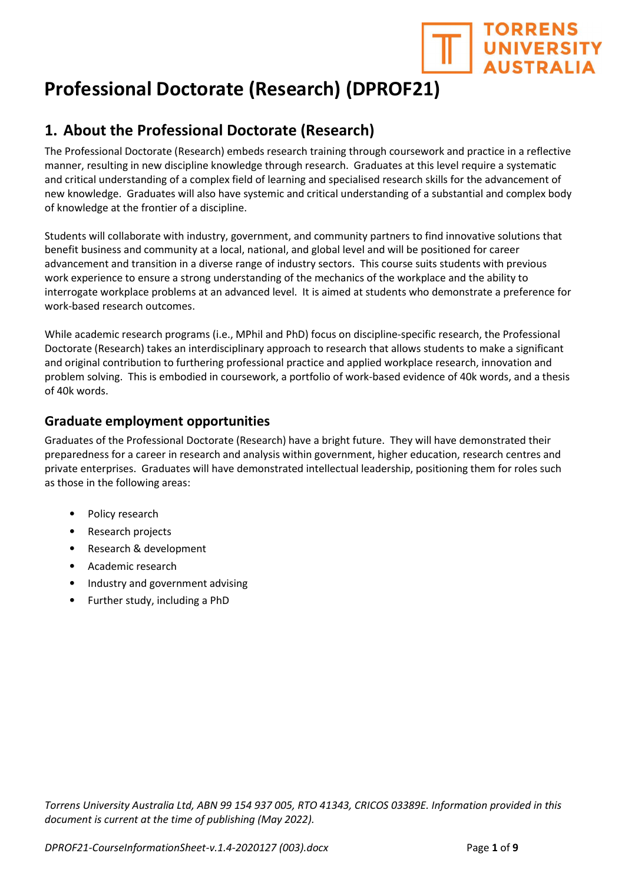

# Professional Doctorate (Research) (DPROF21)

## 1. About the Professional Doctorate (Research)

The Professional Doctorate (Research) embeds research training through coursework and practice in a reflective manner, resulting in new discipline knowledge through research. Graduates at this level require a systematic and critical understanding of a complex field of learning and specialised research skills for the advancement of new knowledge. Graduates will also have systemic and critical understanding of a substantial and complex body of knowledge at the frontier of a discipline.

Students will collaborate with industry, government, and community partners to find innovative solutions that benefit business and community at a local, national, and global level and will be positioned for career advancement and transition in a diverse range of industry sectors. This course suits students with previous work experience to ensure a strong understanding of the mechanics of the workplace and the ability to interrogate workplace problems at an advanced level. It is aimed at students who demonstrate a preference for work-based research outcomes.

While academic research programs (i.e., MPhil and PhD) focus on discipline-specific research, the Professional Doctorate (Research) takes an interdisciplinary approach to research that allows students to make a significant and original contribution to furthering professional practice and applied workplace research, innovation and problem solving. This is embodied in coursework, a portfolio of work-based evidence of 40k words, and a thesis of 40k words.

### Graduate employment opportunities

Graduates of the Professional Doctorate (Research) have a bright future. They will have demonstrated their preparedness for a career in research and analysis within government, higher education, research centres and private enterprises. Graduates will have demonstrated intellectual leadership, positioning them for roles such as those in the following areas:

- Policy research
- Research projects
- Research & development
- Academic research
- Industry and government advising
- Further study, including a PhD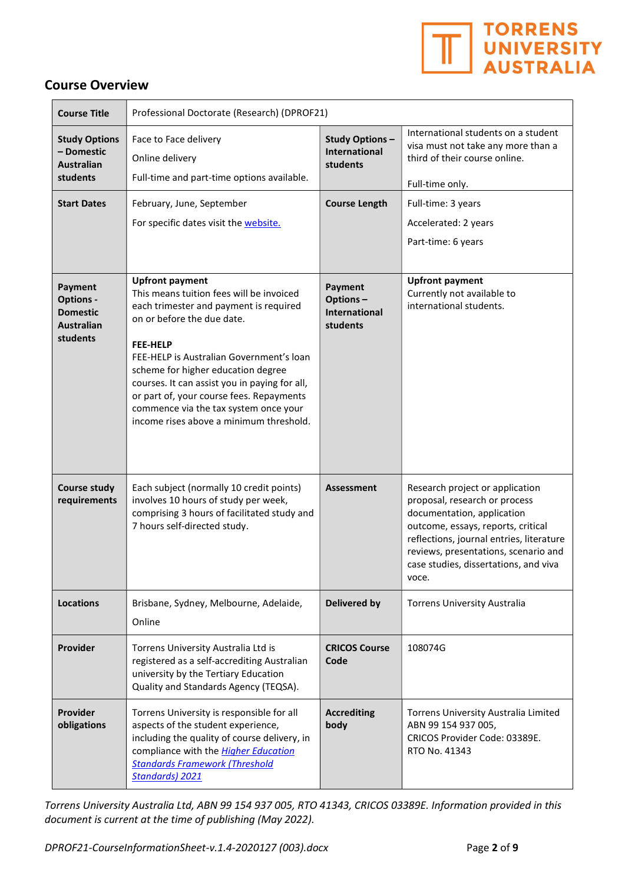

### Course Overview

| <b>Course Title</b>                                                             | Professional Doctorate (Research) (DPROF21)                                                                                                                                                                                                                                                                                                                                                                                      |                                                                |                                                                                                                                                                                                                                                                            |
|---------------------------------------------------------------------------------|----------------------------------------------------------------------------------------------------------------------------------------------------------------------------------------------------------------------------------------------------------------------------------------------------------------------------------------------------------------------------------------------------------------------------------|----------------------------------------------------------------|----------------------------------------------------------------------------------------------------------------------------------------------------------------------------------------------------------------------------------------------------------------------------|
| <b>Study Options</b><br>- Domestic<br><b>Australian</b><br>students             | Face to Face delivery<br>Online delivery<br>Full-time and part-time options available.                                                                                                                                                                                                                                                                                                                                           | <b>Study Options-</b><br><b>International</b><br>students      | International students on a student<br>visa must not take any more than a<br>third of their course online.<br>Full-time only.                                                                                                                                              |
| <b>Start Dates</b>                                                              | February, June, September<br>For specific dates visit the website.                                                                                                                                                                                                                                                                                                                                                               | <b>Course Length</b>                                           | Full-time: 3 years<br>Accelerated: 2 years<br>Part-time: 6 years                                                                                                                                                                                                           |
| Payment<br><b>Options -</b><br><b>Domestic</b><br><b>Australian</b><br>students | <b>Upfront payment</b><br>This means tuition fees will be invoiced<br>each trimester and payment is required<br>on or before the due date.<br><b>FEE-HELP</b><br>FEE-HELP is Australian Government's loan<br>scheme for higher education degree<br>courses. It can assist you in paying for all,<br>or part of, your course fees. Repayments<br>commence via the tax system once your<br>income rises above a minimum threshold. | <b>Payment</b><br>Options-<br><b>International</b><br>students | <b>Upfront payment</b><br>Currently not available to<br>international students.                                                                                                                                                                                            |
| <b>Course study</b><br>requirements                                             | Each subject (normally 10 credit points)<br>involves 10 hours of study per week,<br>comprising 3 hours of facilitated study and<br>7 hours self-directed study.                                                                                                                                                                                                                                                                  | <b>Assessment</b>                                              | Research project or application<br>proposal, research or process<br>documentation, application<br>outcome, essays, reports, critical<br>reflections, journal entries, literature<br>reviews, presentations, scenario and<br>case studies, dissertations, and viva<br>voce. |
| <b>Locations</b>                                                                | Brisbane, Sydney, Melbourne, Adelaide,<br>Online                                                                                                                                                                                                                                                                                                                                                                                 | <b>Delivered by</b>                                            | <b>Torrens University Australia</b>                                                                                                                                                                                                                                        |
| Provider                                                                        | Torrens University Australia Ltd is<br>registered as a self-accrediting Australian<br>university by the Tertiary Education<br>Quality and Standards Agency (TEQSA).                                                                                                                                                                                                                                                              | <b>CRICOS Course</b><br>Code                                   | 108074G                                                                                                                                                                                                                                                                    |
| Provider<br>obligations                                                         | Torrens University is responsible for all<br>aspects of the student experience,<br>including the quality of course delivery, in<br>compliance with the Higher Education<br><b>Standards Framework (Threshold</b><br>Standards) 2021                                                                                                                                                                                              | <b>Accrediting</b><br>body                                     | Torrens University Australia Limited<br>ABN 99 154 937 005,<br>CRICOS Provider Code: 03389E.<br>RTO No. 41343                                                                                                                                                              |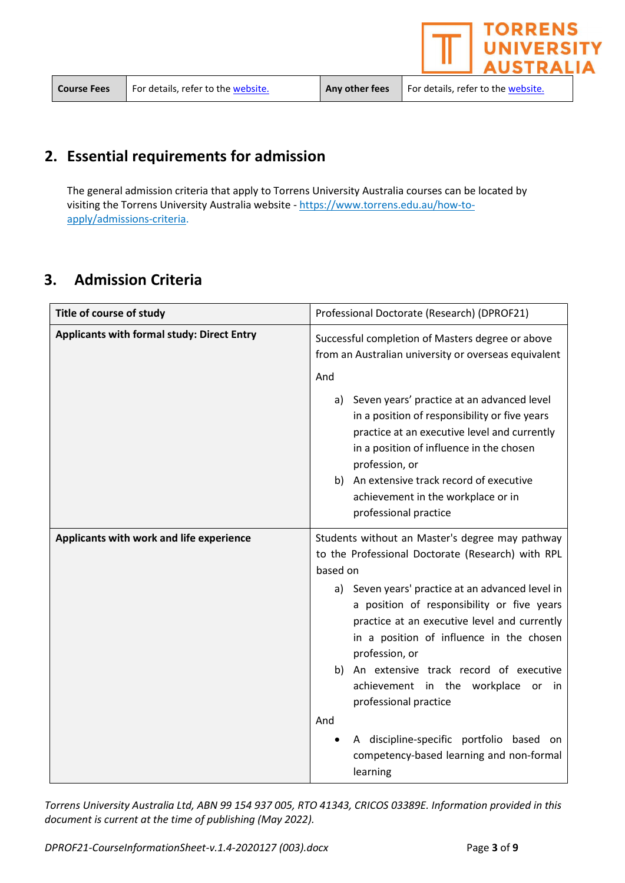$\epsilon$  website. Any other fees For details, refer to the website.

**TORRENS** 

**NIVERSITY USTRALIA** 

## 2. Essential requirements for admission

The general admission criteria that apply to Torrens University Australia courses can be located by visiting the Torrens University Australia website - https://www.torrens.edu.au/how-toapply/admissions-criteria.

## 3. Admission Criteria

| Title of course of study                          | Professional Doctorate (Research) (DPROF21)                                                                                                                                                                                                                  |  |
|---------------------------------------------------|--------------------------------------------------------------------------------------------------------------------------------------------------------------------------------------------------------------------------------------------------------------|--|
| <b>Applicants with formal study: Direct Entry</b> | Successful completion of Masters degree or above<br>from an Australian university or overseas equivalent<br>And                                                                                                                                              |  |
|                                                   | a) Seven years' practice at an advanced level<br>in a position of responsibility or five years<br>practice at an executive level and currently<br>in a position of influence in the chosen<br>profession, or                                                 |  |
|                                                   | b) An extensive track record of executive<br>achievement in the workplace or in<br>professional practice                                                                                                                                                     |  |
| Applicants with work and life experience          | Students without an Master's degree may pathway<br>to the Professional Doctorate (Research) with RPL<br>based on                                                                                                                                             |  |
|                                                   | a) Seven years' practice at an advanced level in<br>a position of responsibility or five years<br>practice at an executive level and currently<br>in a position of influence in the chosen<br>profession, or<br>An extensive track record of executive<br>b) |  |
|                                                   | achievement in the workplace or<br>in<br>professional practice<br>And                                                                                                                                                                                        |  |
|                                                   | A discipline-specific portfolio based on<br>competency-based learning and non-formal<br>learning                                                                                                                                                             |  |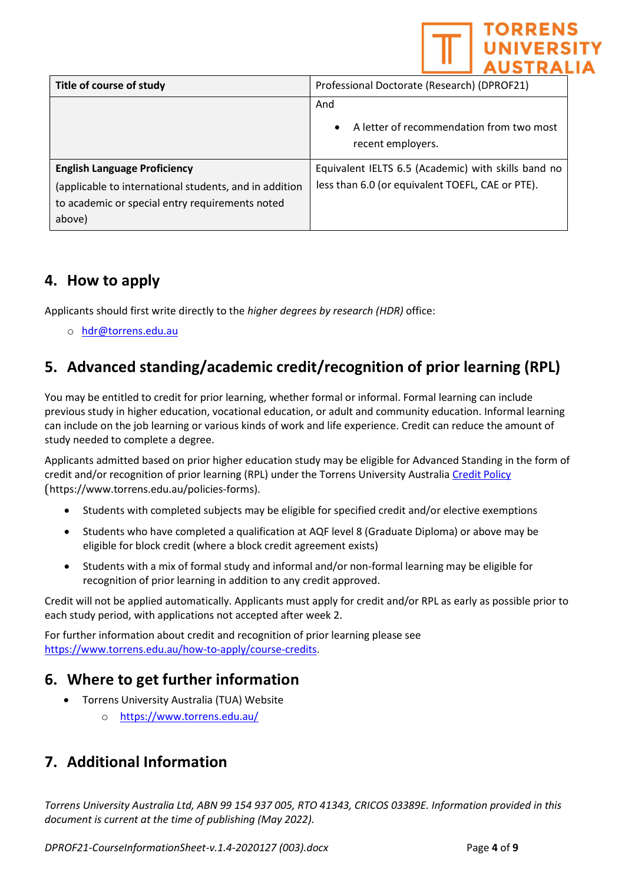

| Title of course of study                                                                                                                                   | Professional Doctorate (Research) (DPROF21)                                                             |
|------------------------------------------------------------------------------------------------------------------------------------------------------------|---------------------------------------------------------------------------------------------------------|
|                                                                                                                                                            | And<br>A letter of recommendation from two most<br>$\bullet$<br>recent employers.                       |
| <b>English Language Proficiency</b><br>(applicable to international students, and in addition<br>to academic or special entry requirements noted<br>above) | Equivalent IELTS 6.5 (Academic) with skills band no<br>less than 6.0 (or equivalent TOEFL, CAE or PTE). |

## 4. How to apply

Applicants should first write directly to the higher degrees by research (HDR) office:

o hdr@torrens.edu.au

## 5. Advanced standing/academic credit/recognition of prior learning (RPL)

You may be entitled to credit for prior learning, whether formal or informal. Formal learning can include previous study in higher education, vocational education, or adult and community education. Informal learning can include on the job learning or various kinds of work and life experience. Credit can reduce the amount of study needed to complete a degree.

Applicants admitted based on prior higher education study may be eligible for Advanced Standing in the form of credit and/or recognition of prior learning (RPL) under the Torrens University Australia Credit Policy (https://www.torrens.edu.au/policies-forms).

- Students with completed subjects may be eligible for specified credit and/or elective exemptions
- Students who have completed a qualification at AQF level 8 (Graduate Diploma) or above may be eligible for block credit (where a block credit agreement exists)
- Students with a mix of formal study and informal and/or non-formal learning may be eligible for recognition of prior learning in addition to any credit approved.

Credit will not be applied automatically. Applicants must apply for credit and/or RPL as early as possible prior to each study period, with applications not accepted after week 2.

For further information about credit and recognition of prior learning please see https://www.torrens.edu.au/how-to-apply/course-credits.

## 6. Where to get further information

- Torrens University Australia (TUA) Website
	- o https://www.torrens.edu.au/

## 7. Additional Information

Torrens University Australia Ltd, ABN 99 154 937 005, RTO 41343, CRICOS 03389E. Information provided in this document is current at the time of publishing (May 2022).

DPROF21-CourseInformationSheet-v.1.4-2020127 (003).docx Page 4 of 9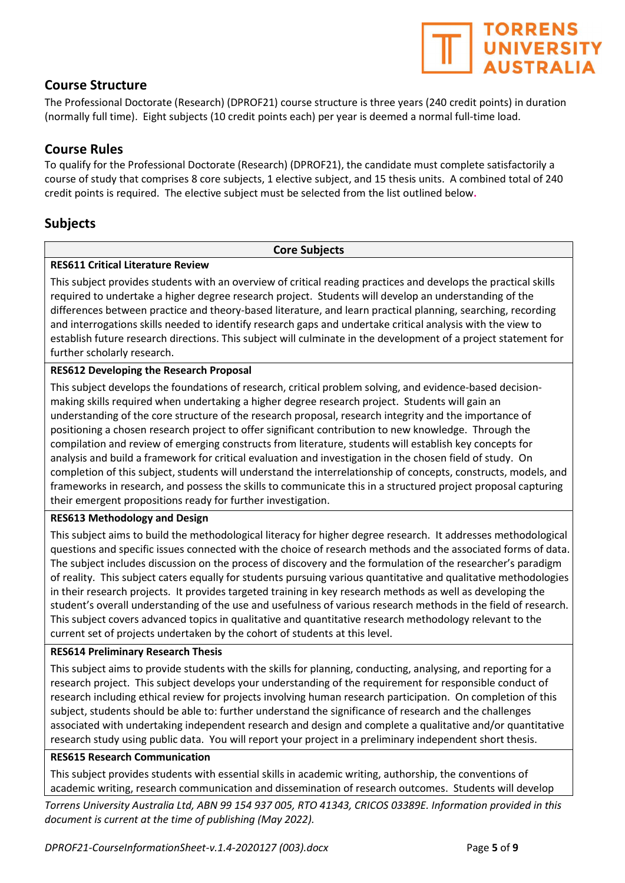## Course Structure

The Professional Doctorate (Research) (DPROF21) course structure is three years (240 credit points) in duration (normally full time). Eight subjects (10 credit points each) per year is deemed a normal full-time load.

### Course Rules

To qualify for the Professional Doctorate (Research) (DPROF21), the candidate must complete satisfactorily a course of study that comprises 8 core subjects, 1 elective subject, and 15 thesis units. A combined total of 240 credit points is required. The elective subject must be selected from the list outlined below.

### Subjects

#### Core Subjects

#### RES611 Critical Literature Review

This subject provides students with an overview of critical reading practices and develops the practical skills required to undertake a higher degree research project. Students will develop an understanding of the differences between practice and theory-based literature, and learn practical planning, searching, recording and interrogations skills needed to identify research gaps and undertake critical analysis with the view to establish future research directions. This subject will culminate in the development of a project statement for further scholarly research.

#### RES612 Developing the Research Proposal

This subject develops the foundations of research, critical problem solving, and evidence-based decisionmaking skills required when undertaking a higher degree research project. Students will gain an understanding of the core structure of the research proposal, research integrity and the importance of positioning a chosen research project to offer significant contribution to new knowledge. Through the compilation and review of emerging constructs from literature, students will establish key concepts for analysis and build a framework for critical evaluation and investigation in the chosen field of study. On completion of this subject, students will understand the interrelationship of concepts, constructs, models, and frameworks in research, and possess the skills to communicate this in a structured project proposal capturing their emergent propositions ready for further investigation.

#### RES613 Methodology and Design

This subject aims to build the methodological literacy for higher degree research. It addresses methodological questions and specific issues connected with the choice of research methods and the associated forms of data. The subject includes discussion on the process of discovery and the formulation of the researcher's paradigm of reality. This subject caters equally for students pursuing various quantitative and qualitative methodologies in their research projects. It provides targeted training in key research methods as well as developing the student's overall understanding of the use and usefulness of various research methods in the field of research. This subject covers advanced topics in qualitative and quantitative research methodology relevant to the current set of projects undertaken by the cohort of students at this level.

#### RES614 Preliminary Research Thesis

This subject aims to provide students with the skills for planning, conducting, analysing, and reporting for a research project. This subject develops your understanding of the requirement for responsible conduct of research including ethical review for projects involving human research participation. On completion of this subject, students should be able to: further understand the significance of research and the challenges associated with undertaking independent research and design and complete a qualitative and/or quantitative research study using public data. You will report your project in a preliminary independent short thesis.

#### RES615 Research Communication

This subject provides students with essential skills in academic writing, authorship, the conventions of academic writing, research communication and dissemination of research outcomes. Students will develop

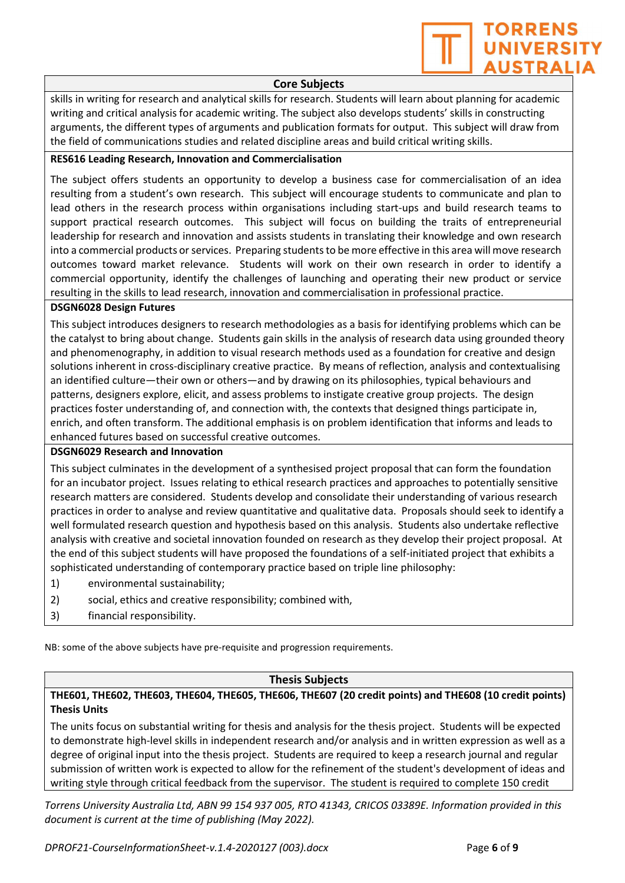

#### Core Subjects

skills in writing for research and analytical skills for research. Students will learn about planning for academic writing and critical analysis for academic writing. The subject also develops students' skills in constructing arguments, the different types of arguments and publication formats for output. This subject will draw from the field of communications studies and related discipline areas and build critical writing skills.

#### RES616 Leading Research, Innovation and Commercialisation

The subject offers students an opportunity to develop a business case for commercialisation of an idea resulting from a student's own research. This subject will encourage students to communicate and plan to lead others in the research process within organisations including start-ups and build research teams to support practical research outcomes. This subject will focus on building the traits of entrepreneurial leadership for research and innovation and assists students in translating their knowledge and own research into a commercial products or services. Preparing students to be more effective in this area will move research outcomes toward market relevance. Students will work on their own research in order to identify a commercial opportunity, identify the challenges of launching and operating their new product or service resulting in the skills to lead research, innovation and commercialisation in professional practice.

#### DSGN6028 Design Futures

This subject introduces designers to research methodologies as a basis for identifying problems which can be the catalyst to bring about change. Students gain skills in the analysis of research data using grounded theory and phenomenography, in addition to visual research methods used as a foundation for creative and design solutions inherent in cross-disciplinary creative practice. By means of reflection, analysis and contextualising an identified culture—their own or others—and by drawing on its philosophies, typical behaviours and patterns, designers explore, elicit, and assess problems to instigate creative group projects. The design practices foster understanding of, and connection with, the contexts that designed things participate in, enrich, and often transform. The additional emphasis is on problem identification that informs and leads to enhanced futures based on successful creative outcomes.

#### DSGN6029 Research and Innovation

This subject culminates in the development of a synthesised project proposal that can form the foundation for an incubator project. Issues relating to ethical research practices and approaches to potentially sensitive research matters are considered. Students develop and consolidate their understanding of various research practices in order to analyse and review quantitative and qualitative data. Proposals should seek to identify a well formulated research question and hypothesis based on this analysis. Students also undertake reflective analysis with creative and societal innovation founded on research as they develop their project proposal. At the end of this subject students will have proposed the foundations of a self-initiated project that exhibits a sophisticated understanding of contemporary practice based on triple line philosophy:

- 1) environmental sustainability;
- 2) social, ethics and creative responsibility; combined with,
- 3) financial responsibility.

NB: some of the above subjects have pre-requisite and progression requirements.

#### Thesis Subjects

THE601, THE602, THE603, THE604, THE605, THE606, THE607 (20 credit points) and THE608 (10 credit points) Thesis Units

The units focus on substantial writing for thesis and analysis for the thesis project. Students will be expected to demonstrate high-level skills in independent research and/or analysis and in written expression as well as a degree of original input into the thesis project. Students are required to keep a research journal and regular submission of written work is expected to allow for the refinement of the student's development of ideas and writing style through critical feedback from the supervisor. The student is required to complete 150 credit

Torrens University Australia Ltd, ABN 99 154 937 005, RTO 41343, CRICOS 03389E. Information provided in this document is current at the time of publishing (May 2022).

DPROF21-CourseInformationSheet-v.1.4-2020127 (003).docx Page 6 of 9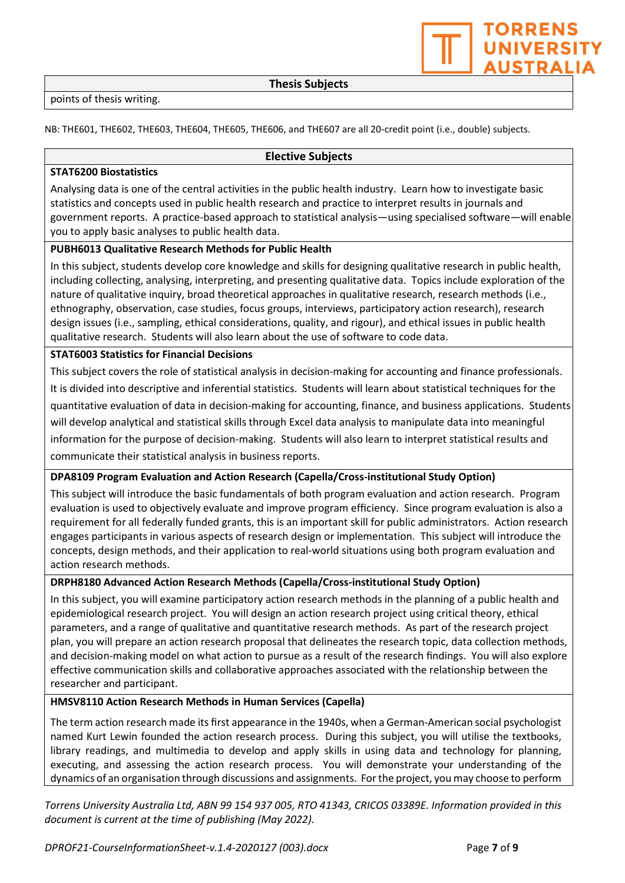Thesis Subjects

NB: THE601, THE602, THE603, THE604, THE605, THE606, and THE607 are all 20-credit point (i.e., double) subjects.

#### Elective Subjects

#### STAT6200 Biostatistics

Analysing data is one of the central activities in the public health industry. Learn how to investigate basic statistics and concepts used in public health research and practice to interpret results in journals and government reports. A practice-based approach to statistical analysis—using specialised software—will enable you to apply basic analyses to public health data.

#### PUBH6013 Qualitative Research Methods for Public Health

In this subject, students develop core knowledge and skills for designing qualitative research in public health, including collecting, analysing, interpreting, and presenting qualitative data. Topics include exploration of the nature of qualitative inquiry, broad theoretical approaches in qualitative research, research methods (i.e., ethnography, observation, case studies, focus groups, interviews, participatory action research), research design issues (i.e., sampling, ethical considerations, quality, and rigour), and ethical issues in public health qualitative research. Students will also learn about the use of software to code data.

#### STAT6003 Statistics for Financial Decisions

This subject covers the role of statistical analysis in decision-making for accounting and finance professionals. It is divided into descriptive and inferential statistics. Students will learn about statistical techniques for the quantitative evaluation of data in decision-making for accounting, finance, and business applications. Students will develop analytical and statistical skills through Excel data analysis to manipulate data into meaningful information for the purpose of decision-making. Students will also learn to interpret statistical results and communicate their statistical analysis in business reports.

#### DPA8109 Program Evaluation and Action Research (Capella/Cross-institutional Study Option)

This subject will introduce the basic fundamentals of both program evaluation and action research. Program evaluation is used to objectively evaluate and improve program efficiency. Since program evaluation is also a requirement for all federally funded grants, this is an important skill for public administrators. Action research engages participants in various aspects of research design or implementation. This subject will introduce the concepts, design methods, and their application to real-world situations using both program evaluation and action research methods.

#### DRPH8180 Advanced Action Research Methods (Capella/Cross-institutional Study Option)

In this subject, you will examine participatory action research methods in the planning of a public health and epidemiological research project. You will design an action research project using critical theory, ethical parameters, and a range of qualitative and quantitative research methods. As part of the research project plan, you will prepare an action research proposal that delineates the research topic, data collection methods, and decision-making model on what action to pursue as a result of the research findings. You will also explore effective communication skills and collaborative approaches associated with the relationship between the researcher and participant.

#### HMSV8110 Action Research Methods in Human Services (Capella)

The term action research made its first appearance in the 1940s, when a German-American social psychologist named Kurt Lewin founded the action research process. During this subject, you will utilise the textbooks, library readings, and multimedia to develop and apply skills in using data and technology for planning, executing, and assessing the action research process. You will demonstrate your understanding of the dynamics of an organisation through discussions and assignments. For the project, you may choose to perform

Torrens University Australia Ltd, ABN 99 154 937 005, RTO 41343, CRICOS 03389E. Information provided in this document is current at the time of publishing (May 2022).

**TORRENS UNIVERSIT AUSTRALIA**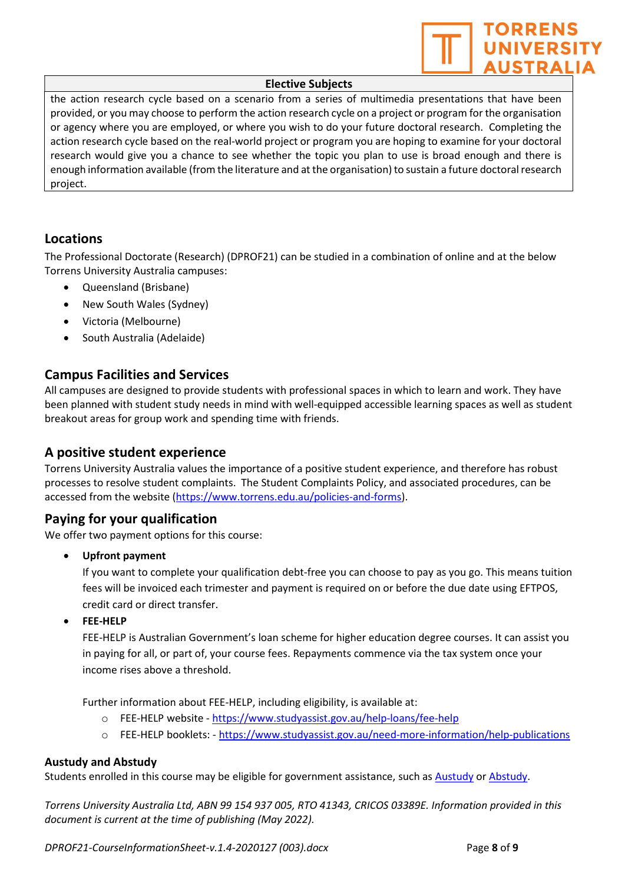

#### Elective Subjects

the action research cycle based on a scenario from a series of multimedia presentations that have been provided, or you may choose to perform the action research cycle on a project or program for the organisation or agency where you are employed, or where you wish to do your future doctoral research. Completing the action research cycle based on the real-world project or program you are hoping to examine for your doctoral research would give you a chance to see whether the topic you plan to use is broad enough and there is enough information available (from the literature and at the organisation) to sustain a future doctoral research project.

### Locations

The Professional Doctorate (Research) (DPROF21) can be studied in a combination of online and at the below Torrens University Australia campuses:

- Queensland (Brisbane)
- New South Wales (Sydney)
- Victoria (Melbourne)
- South Australia (Adelaide)

### Campus Facilities and Services

All campuses are designed to provide students with professional spaces in which to learn and work. They have been planned with student study needs in mind with well-equipped accessible learning spaces as well as student breakout areas for group work and spending time with friends.

### A positive student experience

Torrens University Australia values the importance of a positive student experience, and therefore has robust processes to resolve student complaints. The Student Complaints Policy, and associated procedures, can be accessed from the website (https://www.torrens.edu.au/policies-and-forms).

### Paying for your qualification

We offer two payment options for this course:

Upfront payment

If you want to complete your qualification debt-free you can choose to pay as you go. This means tuition fees will be invoiced each trimester and payment is required on or before the due date using EFTPOS, credit card or direct transfer.

FEE-HELP

FEE-HELP is Australian Government's loan scheme for higher education degree courses. It can assist you in paying for all, or part of, your course fees. Repayments commence via the tax system once your income rises above a threshold.

Further information about FEE-HELP, including eligibility, is available at:

- o FEE-HELP website https://www.studyassist.gov.au/help-loans/fee-help
- o FEE-HELP booklets: https://www.studyassist.gov.au/need-more-information/help-publications

#### Austudy and Abstudy

Students enrolled in this course may be eligible for government assistance, such as Austudy or Abstudy.